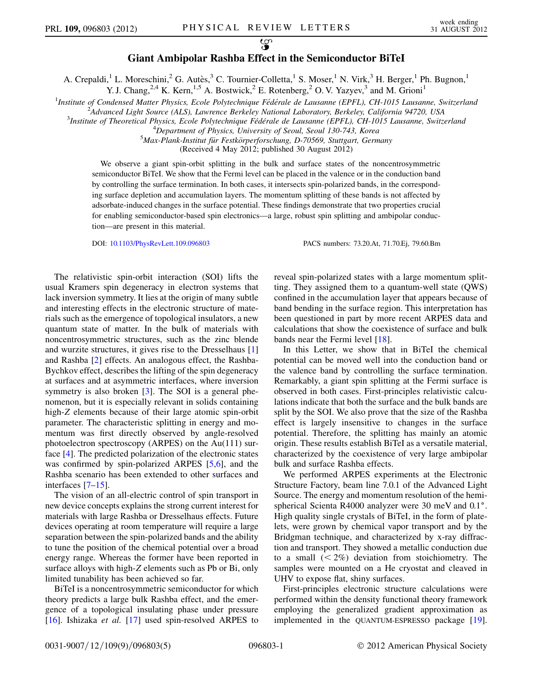## $\mathcal{L}$ Giant Ambipolar Rashba Effect in the Semiconductor BiTeI

A. Crepaldi,<sup>1</sup> L. Moreschini,<sup>2</sup> G. Autès,<sup>3</sup> C. Tournier-Colletta,<sup>1</sup> S. Moser,<sup>1</sup> N. Virk,<sup>3</sup> H. Berger,<sup>1</sup> Ph. Bugnon,<sup>1</sup>

Y. J. Chang,  $^{2,4}$  K. Kern,  $^{1,5}$  A. Bostwick,  $^{2}$  E. Rotenberg,  $^{2}$  O. V. Yazyev,  $^{3}$  and M. Grioni<sup>1</sup>

<sup>1</sup>Institute of Condensed Matter Physics, Ecole Polytechnique Fédérale de Lausanne (EPFL), CH-1015 Lausanne, Switzerland<br><sup>2</sup>A dyanaed Lieht Source (ALS), Laurence Berkelay National Laboratory, Berkelay, California 04720, U

 $A$ dvanced Light Source (ALS), Lawrence Berkeley National Laboratory, Berkeley, California 94720, USA

<sup>3</sup>Institute of Theoretical Physics, Ecole Polytechnique Fédérale de Lausanne (EPFL), CH-1015 Lausanne, Switzerland

<sup>4</sup>Department of Physics, University of Seoul, Seoul 130-743, Korea

 $<sup>5</sup>$ Max-Plank-Institut für Festkörperforschung, D-70569, Stuttgart, Germany</sup>

(Received 4 May 2012; published 30 August 2012)

We observe a giant spin-orbit splitting in the bulk and surface states of the noncentrosymmetric semiconductor BiTeI. We show that the Fermi level can be placed in the valence or in the conduction band by controlling the surface termination. In both cases, it intersects spin-polarized bands, in the corresponding surface depletion and accumulation layers. The momentum splitting of these bands is not affected by adsorbate-induced changes in the surface potential. These findings demonstrate that two properties crucial for enabling semiconductor-based spin electronics—a large, robust spin splitting and ambipolar conduction—are present in this material.

DOI: [10.1103/PhysRevLett.109.096803](http://dx.doi.org/10.1103/PhysRevLett.109.096803) PACS numbers: 73.20.At, 71.70.Ej, 79.60.Bm

The relativistic spin-orbit interaction (SOI) lifts the usual Kramers spin degeneracy in electron systems that lack inversion symmetry. It lies at the origin of many subtle and interesting effects in the electronic structure of materials such as the emergence of topological insulators, a new quantum state of matter. In the bulk of materials with noncentrosymmetric structures, such as the zinc blende and wurzite structures, it gives rise to the Dresselhaus [\[1\]](#page-3-0) and Rashba [\[2\]](#page-3-1) effects. An analogous effect, the Rashba-Bychkov effect, describes the lifting of the spin degeneracy at surfaces and at asymmetric interfaces, where inversion symmetry is also broken [[3\]](#page-3-2). The SOI is a general phenomenon, but it is especially relevant in solids containing high-Z elements because of their large atomic spin-orbit parameter. The characteristic splitting in energy and momentum was first directly observed by angle-resolved photoelectron spectroscopy (ARPES) on the Au(111) surface [[4\]](#page-3-3). The predicted polarization of the electronic states was confirmed by spin-polarized ARPES [\[5](#page-3-4)[,6\]](#page-3-5), and the Rashba scenario has been extended to other surfaces and interfaces [\[7–](#page-3-6)[15](#page-4-0)].

The vision of an all-electric control of spin transport in new device concepts explains the strong current interest for materials with large Rashba or Dresselhaus effects. Future devices operating at room temperature will require a large separation between the spin-polarized bands and the ability to tune the position of the chemical potential over a broad energy range. Whereas the former have been reported in surface alloys with high-Z elements such as Pb or Bi, only limited tunability has been achieved so far.

BiTeI is a noncentrosymmetric semiconductor for which theory predicts a large bulk Rashba effect, and the emergence of a topological insulating phase under pressure [\[16\]](#page-4-1). Ishizaka *et al.* [[17](#page-4-2)] used spin-resolved ARPES to reveal spin-polarized states with a large momentum splitting. They assigned them to a quantum-well state (QWS) confined in the accumulation layer that appears because of band bending in the surface region. This interpretation has been questioned in part by more recent ARPES data and calculations that show the coexistence of surface and bulk bands near the Fermi level [\[18\]](#page-4-3).

In this Letter, we show that in BiTeI the chemical potential can be moved well into the conduction band or the valence band by controlling the surface termination. Remarkably, a giant spin splitting at the Fermi surface is observed in both cases. First-principles relativistic calculations indicate that both the surface and the bulk bands are split by the SOI. We also prove that the size of the Rashba effect is largely insensitive to changes in the surface potential. Therefore, the splitting has mainly an atomic origin. These results establish BiTeI as a versatile material, characterized by the coexistence of very large ambipolar bulk and surface Rashba effects.

We performed ARPES experiments at the Electronic Structure Factory, beam line 7.0.1 of the Advanced Light Source. The energy and momentum resolution of the hemispherical Scienta R4000 analyzer were 30 meV and 0.1°. High quality single crystals of BiTeI, in the form of platelets, were grown by chemical vapor transport and by the Bridgman technique, and characterized by x-ray diffraction and transport. They showed a metallic conduction due to a small  $(< 2\%)$  deviation from stoichiometry. The samples were mounted on a He cryostat and cleaved in UHV to expose flat, shiny surfaces.

First-principles electronic structure calculations were performed within the density functional theory framework employing the generalized gradient approximation as implemented in the QUANTUM-ESPRESSO package [[19\]](#page-4-4).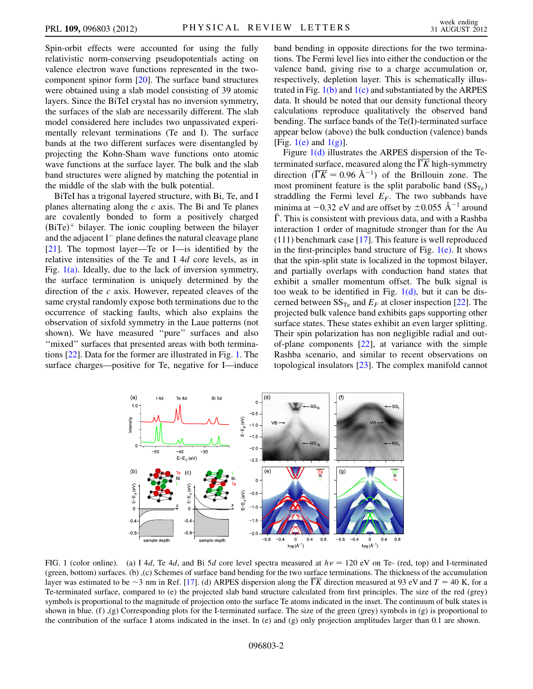Spin-orbit effects were accounted for using the fully relativistic norm-conserving pseudopotentials acting on valence electron wave functions represented in the twocomponent spinor form [[20](#page-4-5)]. The surface band structures were obtained using a slab model consisting of 39 atomic layers. Since the BiTeI crystal has no inversion symmetry, the surfaces of the slab are necessarily different. The slab model considered here includes two unpassivated experimentally relevant terminations (Te and I). The surface bands at the two different surfaces were disentangled by projecting the Kohn-Sham wave functions onto atomic wave functions at the surface layer. The bulk and the slab band structures were aligned by matching the potential in the middle of the slab with the bulk potential.

BiTeI has a trigonal layered structure, with Bi, Te, and I planes alternating along the  $c$  axis. The Bi and Te planes are covalently bonded to form a positively charged  $(BiTe)^+$  bilayer. The ionic coupling between the bilayer and the adjacent  $I^-$  plane defines the natural cleavage plane [\[21\]](#page-4-6). The topmost layer—Te or I—is identified by the relative intensities of the Te and I 4d core levels, as in Fig.  $1(a)$ . Ideally, due to the lack of inversion symmetry, the surface termination is uniquely determined by the direction of the  $c$  axis. However, repeated cleaves of the same crystal randomly expose both terminations due to the occurrence of stacking faults, which also explains the observation of sixfold symmetry in the Laue patterns (not shown). We have measured ''pure'' surfaces and also ''mixed'' surfaces that presented areas with both terminations [\[22\]](#page-4-7). Data for the former are illustrated in Fig. [1.](#page-1-1) The surface charges—positive for Te, negative for I—induce band bending in opposite directions for the two terminations. The Fermi level lies into either the conduction or the valence band, giving rise to a charge accumulation or, respectively, depletion layer. This is schematically illustrated in Fig.  $1(b)$  and  $1(c)$  and substantiated by the ARPES data. It should be noted that our density functional theory calculations reproduce qualitatively the observed band bending. The surface bands of the Te(I)-terminated surface appear below (above) the bulk conduction (valence) bands [Fig.  $1(e)$  and  $1(g)$ ].

Figure  $1(d)$  illustrates the ARPES dispersion of the Teterminated surface, measured along the  $\overline{K}$  high-symmetry direction  $(\overline{\Gamma K} = 0.96 \text{ Å}^{-1})$  of the Brillouin zone. The most prominent feature is the split parabolic band  $(SS<sub>Te</sub>)$ straddling the Fermi level  $E_F$ . The two subbands have minima at  $-0.32$  eV and are offset by  $\pm 0.055$  Å<sup>-1</sup> around  $\overline{\Gamma}$ . This is consistent with previous data, and with a Rashba interaction 1 order of magnitude stronger than for the Au (111) benchmark case [\[17\]](#page-4-2). This feature is well reproduced in the first-principles band structure of Fig.  $1(e)$ . It shows that the spin-split state is localized in the topmost bilayer, and partially overlaps with conduction band states that exhibit a smaller momentum offset. The bulk signal is too weak to be identified in Fig.  $1(d)$ , but it can be discerned between  $SS_{Te}$  and  $E_F$  at closer inspection [[22](#page-4-7)]. The projected bulk valence band exhibits gaps supporting other surface states. These states exhibit an even larger splitting. Their spin polarization has non negligible radial and outof-plane components [[22](#page-4-7)], at variance with the simple Rashba scenario, and similar to recent observations on topological insulators [[23](#page-4-8)]. The complex manifold cannot

<span id="page-1-1"></span>

<span id="page-1-0"></span>FIG. 1 (color online). (a) I 4d, Te 4d, and Bi 5d core level spectra measured at  $h\nu = 120$  eV on Te- (red, top) and I-terminated (green, bottom) surfaces. (b) ,(c) Schemes of surface band bending for the two surface terminations. The thickness of the accumulation layer was estimated to be  $\sim$ 3 nm in Ref. [\[17\]](#page-4-2). (d) ARPES dispersion along the  $\overline{TK}$  direction measured at 93 eV and  $T = 40$  K, for a Te-terminated surface, compared to (e) the projected slab band structure calculated from first principles. The size of the red (grey) symbols is proportional to the magnitude of projection onto the surface Te atoms indicated in the inset. The continuum of bulk states is shown in blue. (f),(g) Corresponding plots for the I-terminated surface. The size of the green (grey) symbols in (g) is proportional to the contribution of the surface I atoms indicated in the inset. In (e) and (g) only projection amplitudes larger than 0.1 are shown.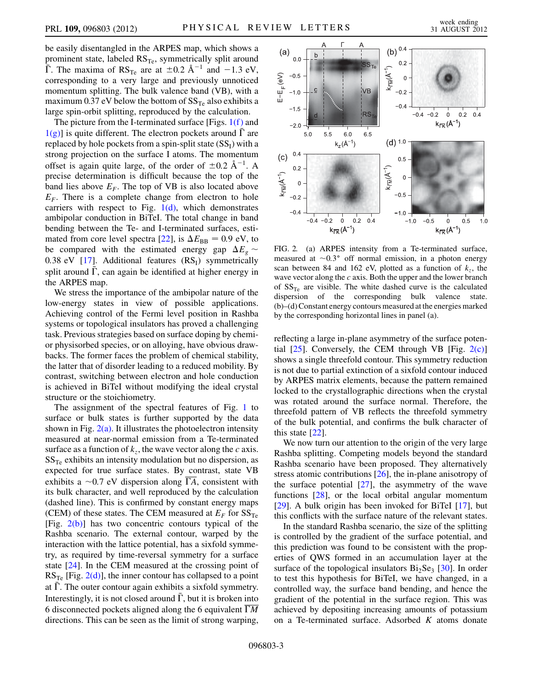be easily disentangled in the ARPES map, which shows a prominent state, labeled  $RS_{Te}$ , symmetrically split around  $\overline{\Gamma}$ . The maxima of RS<sub>Te</sub> are at  $\pm 0.2$  Å<sup>-1</sup> and -1.3 eV, corresponding to a very large and previously unnoticed momentum splitting. The bulk valence band (VB), with a maximum 0.37 eV below the bottom of  $SS_{Te}$  also exhibits a large spin-orbit splitting, reproduced by the calculation.

The picture from the I-terminated surface [Figs.  $1(f)$  and  $1(g)$ ] is quite different. The electron pockets around  $\overline{\Gamma}$  are replaced by hole pockets from a spin-split state  $(SS_I)$  with a strong projection on the surface I atoms. The momentum offset is again quite large, of the order of  $\pm 0.2 \text{ Å}^{-1}$ . A precise determination is difficult because the top of the band lies above  $E_F$ . The top of VB is also located above  $E_F$ . There is a complete change from electron to hole carriers with respect to Fig.  $1(d)$ , which demonstrates ambipolar conduction in BiTeI. The total change in band bending between the Te- and I-terminated surfaces, esti-mated from core level spectra [\[22\]](#page-4-7), is  $\Delta E_{\text{BB}} = 0.9 \text{ eV}$ , to be compared with the estimated energy gap  $\Delta E_g \sim$ 0.38 eV [\[17\]](#page-4-2). Additional features  $(RS_I)$  symmetrically split around  $\overline{\Gamma}$ , can again be identified at higher energy in the ARPES map.

We stress the importance of the ambipolar nature of the low-energy states in view of possible applications. Achieving control of the Fermi level position in Rashba systems or topological insulators has proved a challenging task. Previous strategies based on surface doping by chemior physisorbed species, or on alloying, have obvious drawbacks. The former faces the problem of chemical stability, the latter that of disorder leading to a reduced mobility. By contrast, switching between electron and hole conduction is achieved in BiTeI without modifying the ideal crystal structure or the stoichiometry.

The assignment of the spectral features of Fig. [1](#page-1-1) to surface or bulk states is further supported by the data shown in Fig.  $2(a)$ . It illustrates the photoelectron intensity measured at near-normal emission from a Te-terminated surface as a function of  $k_z$ , the wave vector along the c axis.  $SS<sub>Te</sub>$  exhibits an intensity modulation but no dispersion, as expected for true surface states. By contrast, state VB exhibits a  $\sim$ 0.7 eV dispersion along  $\overline{IA}$ , consistent with its bulk character, and well reproduced by the calculation (dashed line). This is confirmed by constant energy maps (CEM) of these states. The CEM measured at  $E_F$  for  $SS_{Te}$ [Fig.  $2(b)$ ] has two concentric contours typical of the Rashba scenario. The external contour, warped by the interaction with the lattice potential, has a sixfold symmetry, as required by time-reversal symmetry for a surface state [\[24\]](#page-4-9). In the CEM measured at the crossing point of  $RS_{Te}$  [Fig. [2\(d\)\]](#page-2-0), the inner contour has collapsed to a point at  $\Gamma$ . The outer contour again exhibits a sixfold symmetry. Interestingly, it is not closed around  $\overline{\Gamma}$ , but it is broken into 6 disconnected pockets aligned along the 6 equivalent  $\overline{\Gamma M}$ directions. This can be seen as the limit of strong warping,



<span id="page-2-0"></span>FIG. 2. (a) ARPES intensity from a Te-terminated surface, measured at  $\sim 0.3^{\circ}$  off normal emission, in a photon energy scan between 84 and 162 eV, plotted as a function of  $k_z$ , the wave vector along the  $c$  axis. Both the upper and the lower branch of  $SS<sub>Te</sub>$  are visible. The white dashed curve is the calculated dispersion of the corresponding bulk valence state. (b)–(d) Constant energy contours measured at the energies marked by the corresponding horizontal lines in panel (a).

reflecting a large in-plane asymmetry of the surface potential  $[25]$  $[25]$  $[25]$ . Conversely, the CEM through VB [Fig.  $2(c)$ ] shows a single threefold contour. This symmetry reduction is not due to partial extinction of a sixfold contour induced by ARPES matrix elements, because the pattern remained locked to the crystallographic directions when the crystal was rotated around the surface normal. Therefore, the threefold pattern of VB reflects the threefold symmetry of the bulk potential, and confirms the bulk character of this state  $[22]$  $[22]$  $[22]$ .

We now turn our attention to the origin of the very large. Rashba splitting. Competing models beyond the standard Rashba scenario have been proposed. They alternatively stress atomic contributions [\[26\]](#page-4-11), the in-plane anisotropy of the surface potential [\[27\]](#page-4-12), the asymmetry of the wave functions [[28](#page-4-13)], or the local orbital angular momentum [\[29\]](#page-4-14). A bulk origin has been invoked for BiTeI [\[17\]](#page-4-2), but this conflicts with the surface nature of the relevant states.

In the standard Rashba scenario, the size of the splitting is controlled by the gradient of the surface potential, and this prediction was found to be consistent with the properties of QWS formed in an accumulation layer at the surface of the topological insulators  $Bi<sub>2</sub>Se<sub>3</sub>$  [\[30\]](#page-4-15). In order to test this hypothesis for BiTeI, we have changed, in a controlled way, the surface band bending, and hence the gradient of the potential in the surface region. This was achieved by depositing increasing amounts of potassium on a Te-terminated surface. Adsorbed K atoms donate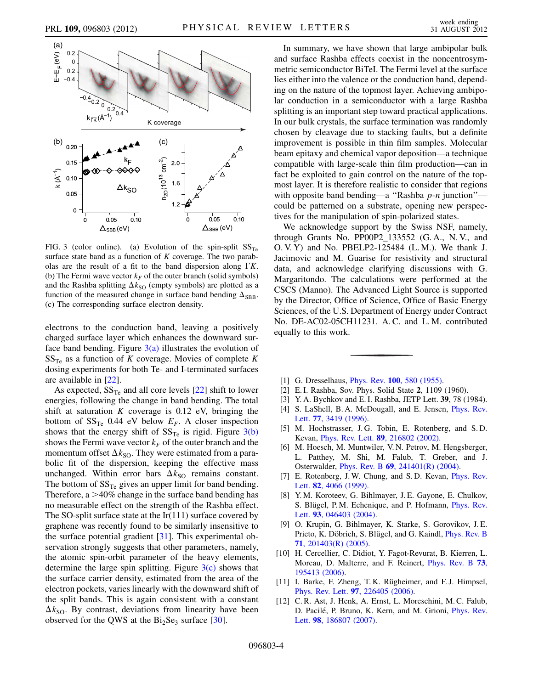

<span id="page-3-7"></span>FIG. 3 (color online). (a) Evolution of the spin-split  $SS_{Te}$ surface state band as a function of  $K$  coverage. The two parabolas are the result of a fit to the band dispersion along  $\Gamma K$ . (b) The Fermi wave vector  $k_F$  of the outer branch (solid symbols) and the Rashba splitting  $\Delta k_{\text{SO}}$  (empty symbols) are plotted as a function of the measured change in surface band bending  $\Delta_{\rm SBB}$ . (c) The corresponding surface electron density.

electrons to the conduction band, leaving a positively charged surface layer which enhances the downward surface band bending. Figure  $3(a)$  illustrates the evolution of  $SS<sub>Te</sub>$  as a function of K coverage. Movies of complete K dosing experiments for both Te- and I-terminated surfaces are available in [\[22\]](#page-4-7).

As expected,  $SS_{Te}$  and all core levels [\[22\]](#page-4-7) shift to lower energies, following the change in band bending. The total shift at saturation  $K$  coverage is 0.12 eV, bringing the bottom of  $SS_{Te}$  0.44 eV below  $E_F$ . A closer inspection shows that the energy shift of  $SS<sub>Te</sub>$  is rigid. Figure [3\(b\)](#page-3-7) shows the Fermi wave vector  $k_F$  of the outer branch and the momentum offset  $\Delta k_{\text{SO}}$ . They were estimated from a parabolic fit of the dispersion, keeping the effective mass unchanged. Within error bars  $\Delta k_{\text{SO}}$  remains constant. The bottom of  $SS<sub>Te</sub>$  gives an upper limit for band bending. Therefore,  $a > 40\%$  change in the surface band bending has no measurable effect on the strength of the Rashba effect. The SO-split surface state at the  $Ir(111)$  surface covered by graphene was recently found to be similarly insensitive to the surface potential gradient [\[31\]](#page-4-16). This experimental observation strongly suggests that other parameters, namely, the atomic spin-orbit parameter of the heavy elements, determine the large spin splitting. Figure  $3(c)$  shows that the surface carrier density, estimated from the area of the electron pockets, varies linearly with the downward shift of the split bands. This is again consistent with a constant  $\Delta k_{\rm SO}$ . By contrast, deviations from linearity have been observed for the QWS at the  $Bi<sub>2</sub>Se<sub>3</sub>$  surface [[30](#page-4-15)].

In summary, we have shown that large ambipolar bulk and surface Rashba effects coexist in the noncentrosymmetric semiconductor BiTeI. The Fermi level at the surface lies either into the valence or the conduction band, depending on the nature of the topmost layer. Achieving ambipolar conduction in a semiconductor with a large Rashba splitting is an important step toward practical applications. In our bulk crystals, the surface termination was randomly chosen by cleavage due to stacking faults, but a definite improvement is possible in thin film samples. Molecular beam epitaxy and chemical vapor deposition—a technique compatible with large-scale thin film production—can in fact be exploited to gain control on the nature of the topmost layer. It is therefore realistic to consider that regions with opposite band bending—a "Rashba  $p$ -n junction" could be patterned on a substrate, opening new perspectives for the manipulation of spin-polarized states.

We acknowledge support by the Swiss NSF, namely, through Grants No. PP00P2\_133552 (G. A., N. V., and O. V. Y) and No. PBELP2-125484 (L. M.). We thank J. Jacimovic and M. Guarise for resistivity and structural data, and acknowledge clarifying discussions with G. Margaritondo. The calculations were performed at the CSCS (Manno). The Advanced Light Source is supported by the Director, Office of Science, Office of Basic Energy Sciences, of the U.S. Department of Energy under Contract No. DE-AC02-05CH11231. A. C. and L. M. contributed equally to this work.

- <span id="page-3-2"></span><span id="page-3-1"></span><span id="page-3-0"></span>[1] G. Dresselhaus, *Phys. Rev.* **100**[, 580 \(1955\).](http://dx.doi.org/10.1103/PhysRev.100.580)
- <span id="page-3-3"></span>[2] E.I. Rashba, Sov. Phys. Solid State 2, 1109 (1960).
- [3] Y. A. Bychkov and E. I. Rashba, JETP Lett. **39**, 78 (1984).
- <span id="page-3-4"></span>[4] S. LaShell, B. A. McDougall, and E. Jensen, *[Phys. Rev.](http://dx.doi.org/10.1103/PhysRevLett.77.3419)* Lett. 77[, 3419 \(1996\).](http://dx.doi.org/10.1103/PhysRevLett.77.3419)
- <span id="page-3-5"></span>[5] M. Hochstrasser, J.G. Tobin, E. Rotenberg, and S.D. Kevan, Phys. Rev. Lett. 89[, 216802 \(2002\)](http://dx.doi.org/10.1103/PhysRevLett.89.216802).
- <span id="page-3-6"></span>[6] M. Hoesch, M. Muntwiler, V. N. Petrov, M. Hengsberger, L. Patthey, M. Shi, M. Falub, T. Greber, and J. Osterwalder, Phys. Rev. B 69[, 241401\(R\) \(2004\)](http://dx.doi.org/10.1103/PhysRevB.69.241401).
- [7] E. Rotenberg, J. W. Chung, and S. D. Kevan, [Phys. Rev.](http://dx.doi.org/10.1103/PhysRevLett.82.4066) Lett. 82[, 4066 \(1999\).](http://dx.doi.org/10.1103/PhysRevLett.82.4066)
- [8] Y. M. Koroteev, G. Bihlmayer, J. E. Gayone, E. Chulkov, S. Blügel, P.M. Echenique, and P. Hofmann, *[Phys. Rev.](http://dx.doi.org/10.1103/PhysRevLett.93.046403)* Lett. 93[, 046403 \(2004\)](http://dx.doi.org/10.1103/PhysRevLett.93.046403).
- [9] O. Krupin, G. Bihlmayer, K. Starke, S. Gorovikov, J. E. Prieto, K. Döbrich, S. Blügel, and G. Kaindl, *[Phys. Rev. B](http://dx.doi.org/10.1103/PhysRevB.71.201403)* 71[, 201403\(R\) \(2005\).](http://dx.doi.org/10.1103/PhysRevB.71.201403)
- [10] H. Cercellier, C. Didiot, Y. Fagot-Revurat, B. Kierren, L. Moreau, D. Malterre, and F. Reinert, [Phys. Rev. B](http://dx.doi.org/10.1103/PhysRevB.73.195413) 73, [195413 \(2006\).](http://dx.doi.org/10.1103/PhysRevB.73.195413)
- [11] I. Barke, F. Zheng, T. K. Rügheimer, and F. J. Himpsel, Phys. Rev. Lett. 97[, 226405 \(2006\).](http://dx.doi.org/10.1103/PhysRevLett.97.226405)
- [12] C. R. Ast, J. Henk, A. Ernst, L. Moreschini, M. C. Falub, D. Pacilé, P. Bruno, K. Kern, and M. Grioni, *[Phys. Rev.](http://dx.doi.org/10.1103/PhysRevLett.98.186807)* Lett. 98[, 186807 \(2007\)](http://dx.doi.org/10.1103/PhysRevLett.98.186807).